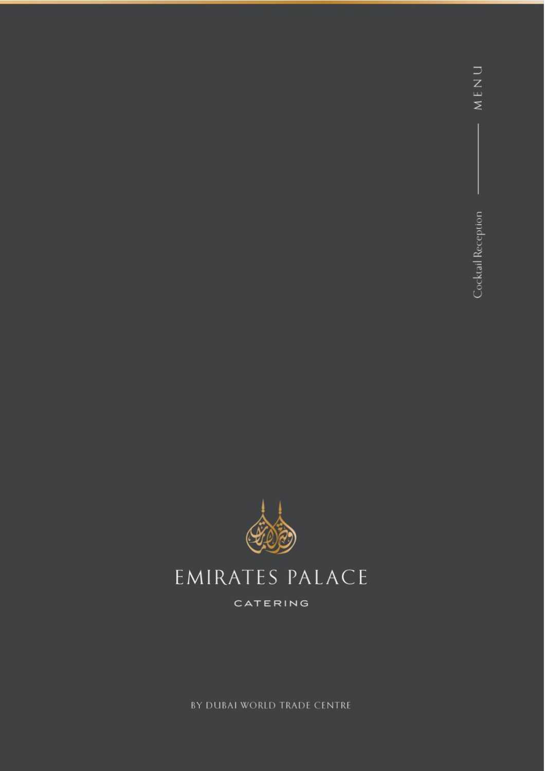MENU



BY DUBAI WORLD TRADE CENTRE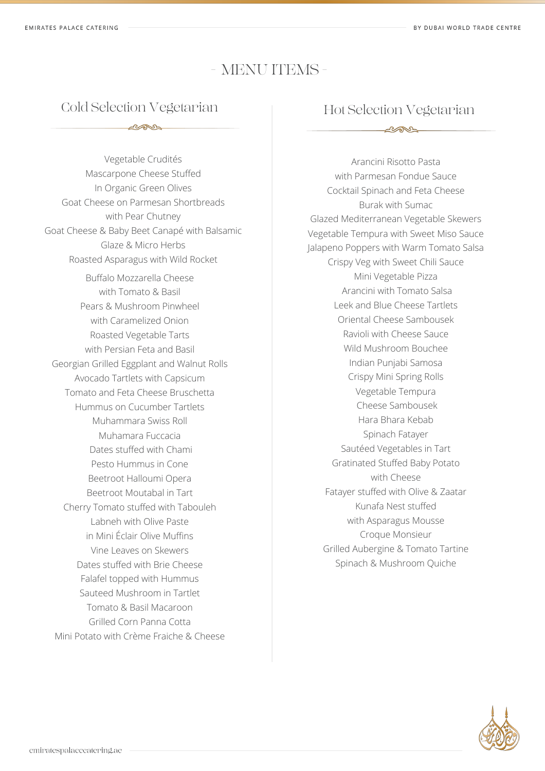# - MENU ITEMS -

### Cold Selection Vegetarian

**CARGE** 

Vegetable Crudités Mascarpone Cheese Stuffed In Organic Green Olives Goat Cheese on Parmesan Shortbreads with Pear Chutney Goat Cheese & Baby Beet Canapé with Balsamic Glaze & Micro Herbs Roasted Asparagus with Wild Rocket Buffalo Mozzarella Cheese with Tomato & Basil Pears & Mushroom Pinwheel with Caramelized Onion Roasted Vegetable Tarts with Persian Feta and Basil Georgian Grilled Eggplant and Walnut Rolls Avocado Tartlets with Capsicum Tomato and Feta Cheese Bruschetta Hummus on Cucumber Tartlets Muhammara Swiss Roll Muhamara Fuccacia Dates stuffed with Chami Pesto Hummus in Cone Beetroot Halloumi Opera Beetroot Moutabal in Tart Cherry Tomato stuffed with Tabouleh Labneh with Olive Paste in Mini Éclair Olive Muffins Vine Leaves on Skewers Dates stuffed with Brie Cheese Falafel topped with Hummus Sauteed Mushroom in Tartlet Tomato & Basil Macaroon Grilled Corn Panna Cotta Mini Potato with Crème Fraiche & Cheese

#### Hot Selection Vegetarian

 $2000$ 

Arancini Risotto Pasta with Parmesan Fondue Sauce Cocktail Spinach and Feta Cheese Burak with Sumac Glazed Mediterranean Vegetable Skewers Vegetable Tempura with Sweet Miso Sauce Jalapeno Poppers with Warm Tomato Salsa Crispy Veg with Sweet Chili Sauce Mini Vegetable Pizza Arancini with Tomato Salsa Leek and Blue Cheese Tartlets Oriental Cheese Sambousek Ravioli with Cheese Sauce Wild Mushroom Bouchee Indian Punjabi Samosa Crispy Mini Spring Rolls Vegetable Tempura Cheese Sambousek Hara Bhara Kebab Spinach Fatayer Sautéed Vegetables in Tart Gratinated Stuffed Baby Potato with Cheese Fatayer stuffed with Olive & Zaatar Kunafa Nest stuffed with Asparagus Mousse Croque Monsieur Grilled Aubergine & Tomato Tartine Spinach & Mushroom Quiche

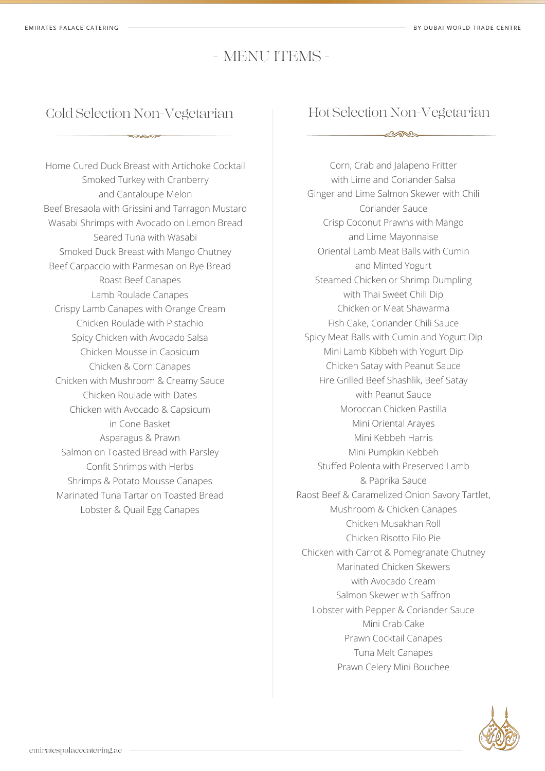## - MENU ITEMS -

### Cold Selection Non-Vegetarian

Home Cured Duck Breast with Artichoke Cocktail Smoked Turkey with Cranberry and Cantaloupe Melon Beef Bresaola with Grissini and Tarragon Mustard Wasabi Shrimps with Avocado on Lemon Bread Seared Tuna with Wasabi Smoked Duck Breast with Mango Chutney Beef Carpaccio with Parmesan on Rye Bread Roast Beef Canapes Lamb Roulade Canapes Crispy Lamb Canapes with Orange Cream Chicken Roulade with Pistachio Spicy Chicken with Avocado Salsa Chicken Mousse in Capsicum Chicken & Corn Canapes Chicken with Mushroom & Creamy Sauce Chicken Roulade with Dates Chicken with Avocado & Capsicum in Cone Basket Asparagus & Prawn Salmon on Toasted Bread with Parsley Confit Shrimps with Herbs Shrimps & Potato Mousse Canapes Marinated Tuna Tartar on Toasted Bread Lobster & Quail Egg Canapes

#### Hot Selection Non-Vegetarian

Corn, Crab and Jalapeno Fritter with Lime and Coriander Salsa Ginger and Lime Salmon Skewer with Chili Coriander Sauce Crisp Coconut Prawns with Mango and Lime Mayonnaise Oriental Lamb Meat Balls with Cumin and Minted Yogurt Steamed Chicken or Shrimp Dumpling with Thai Sweet Chili Dip Chicken or Meat Shawarma Fish Cake, Coriander Chili Sauce Spicy Meat Balls with Cumin and Yogurt Dip Mini Lamb Kibbeh with Yogurt Dip Chicken Satay with Peanut Sauce Fire Grilled Beef Shashlik, Beef Satay with Peanut Sauce Moroccan Chicken Pastilla Mini Oriental Arayes Mini Kebbeh Harris Mini Pumpkin Kebbeh Stuffed Polenta with Preserved Lamb & Paprika Sauce Raost Beef & Caramelized Onion Savory Tartlet, Mushroom & Chicken Canapes Chicken Musakhan Roll Chicken Risotto Filo Pie Chicken with Carrot & Pomegranate Chutney Marinated Chicken Skewers with Avocado Cream Salmon Skewer with Saffron Lobster with Pepper & Coriander Sauce Mini Crab Cake Prawn Cocktail Canapes Tuna Melt Canapes Prawn Celery Mini Bouchee

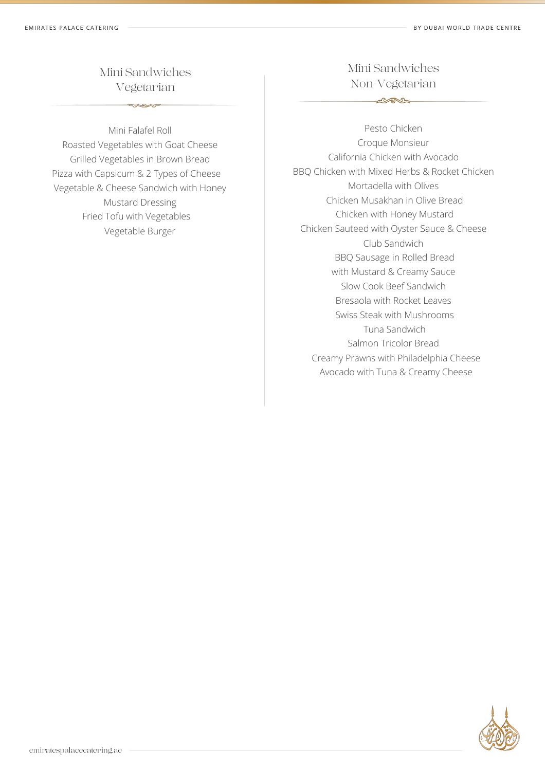### Mini Sandwiches Vegetarian

Mini Falafel Roll Roasted Vegetables with Goat Cheese Grilled Vegetables in Brown Bread Pizza with Capsicum & 2 Types of Cheese Vegetable & Cheese Sandwich with Honey Mustard Dressing Fried Tofu with Vegetables Vegetable Burger

### Mini Sandwiches Non-Vegetarian

**CONS** 

Pesto Chicken Croque Monsieur California Chicken with Avocado BBQ Chicken with Mixed Herbs & Rocket Chicken Mortadella with Olives Chicken Musakhan in Olive Bread Chicken with Honey Mustard Chicken Sauteed with Oyster Sauce & Cheese Club Sandwich BBQ Sausage in Rolled Bread with Mustard & Creamy Sauce Slow Cook Beef Sandwich Bresaola with Rocket Leaves Swiss Steak with Mushrooms Tuna Sandwich Salmon Tricolor Bread Creamy Prawns with Philadelphia Cheese Avocado with Tuna & Creamy Cheese

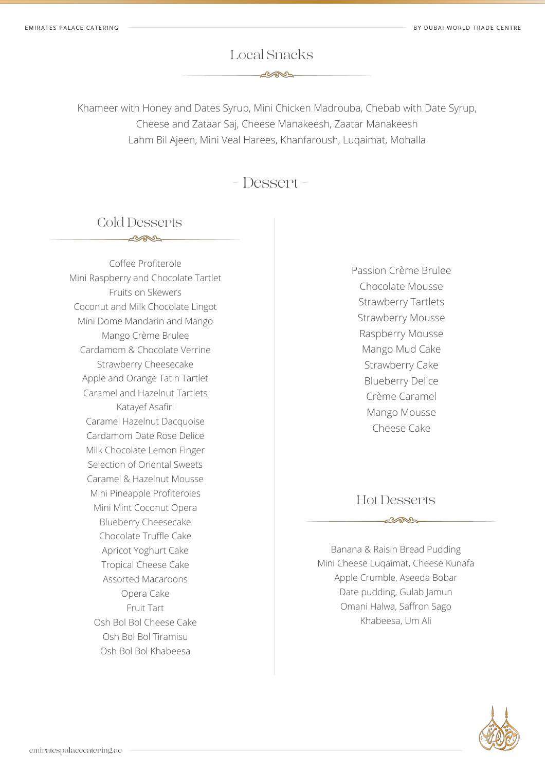### Local Snacks

**CARS** 

Khameer with Honey and Dates Syrup, Mini Chicken Madrouba, Chebab with Date Syrup, Cheese and Zataar Saj, Cheese Manakeesh, Zaatar Manakeesh Lahm Bil Ajeen, Mini Veal Harees, Khanfaroush, Luqaimat, Mohalla

#### - Dessert -

#### Cold Desserts

 $R$ 

Coffee Profiterole Mini Raspberry and Chocolate Tartlet Fruits on Skewers Coconut and Milk Chocolate Lingot Mini Dome Mandarin and Mango Mango Crème Brulee Cardamom & Chocolate Verrine Strawberry Cheesecake Apple and Orange Tatin Tartlet Caramel and Hazelnut Tartlets Katayef Asafiri Caramel Hazelnut Dacquoise Cardamom Date Rose Delice Milk Chocolate Lemon Finger Selection of Oriental Sweets Caramel & Hazelnut Mousse Mini Pineapple Profiteroles Mini Mint Coconut Opera Blueberry Cheesecake Chocolate Truffle Cake Apricot Yoghurt Cake Tropical Cheese Cake Assorted Macaroons Opera Cake Fruit Tart Osh Bol Bol Cheese Cake Osh Bol Bol Tiramisu Osh Bol Bol Khabeesa

Passion Crème Brulee Chocolate Mousse Strawberry Tartlets Strawberry Mousse Raspberry Mousse Mango Mud Cake Strawberry Cake Blueberry Delice Crème Caramel Mango Mousse Cheese Cake

#### Hot Desserts

**COMPS** 

Banana & Raisin Bread Pudding Mini Cheese Luqaimat, Cheese Kunafa Apple Crumble, Aseeda Bobar Date pudding, Gulab Jamun Omani Halwa, Saffron Sago Khabeesa, Um Ali

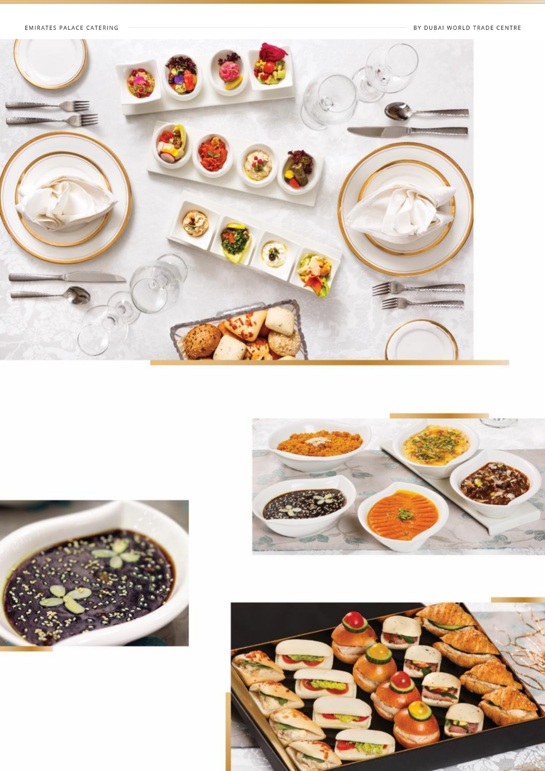EMIRATES PALACE CATERING